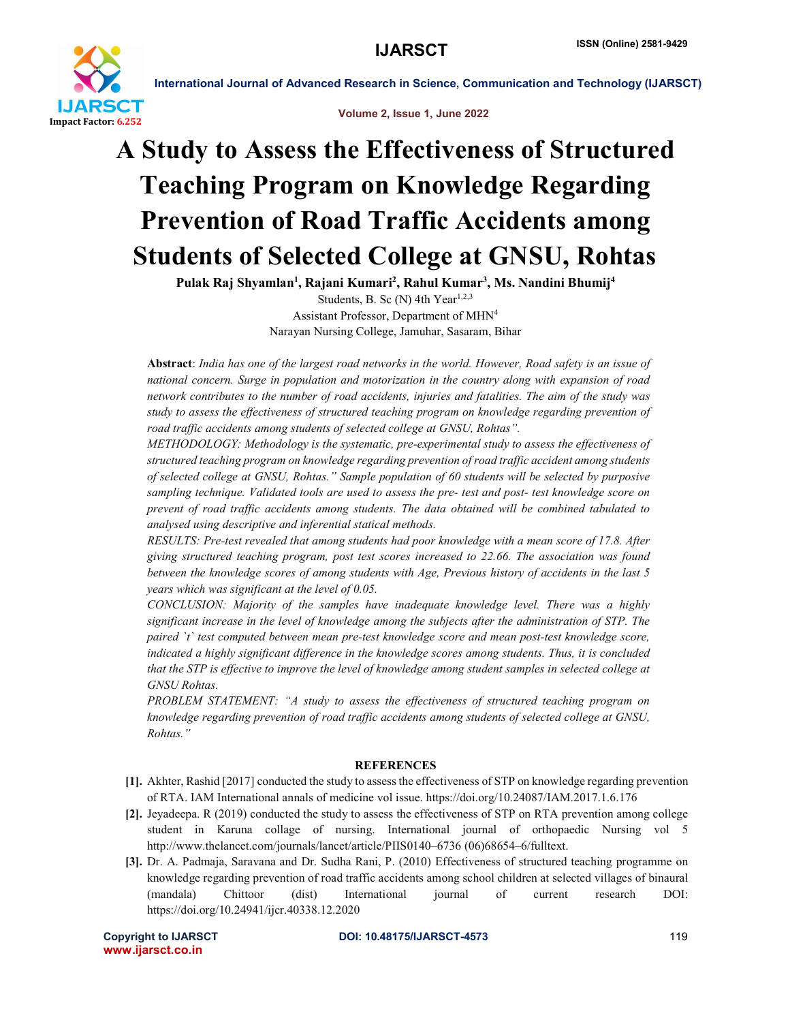

International Journal of Advanced Research in Science, Communication and Technology (IJARSCT)



## A Study to Assess the Effectiveness of Structured Teaching Program on Knowledge Regarding Prevention of Road Traffic Accidents among Students of Selected College at GNSU, Rohtas

Pulak Raj Shyamlan<sup>1</sup>, Rajani Kumari<sup>2</sup>, Rahul Kumar<sup>3</sup>, Ms. Nandini Bhumij<sup>4</sup>

Students, B. Sc (N) 4th  $Year^{1,2,3}$ Assistant Professor, Department of MHN4 Narayan Nursing College, Jamuhar, Sasaram, Bihar

Abstract: *India has one of the largest road networks in the world. However, Road safety is an issue of national concern. Surge in population and motorization in the country along with expansion of road network contributes to the number of road accidents, injuries and fatalities. The aim of the study was study to assess the effectiveness of structured teaching program on knowledge regarding prevention of road traffic accidents among students of selected college at GNSU, Rohtas".*

*METHODOLOGY: Methodology is the systematic, pre-experimental study to assess the effectiveness of structured teaching program on knowledge regarding prevention of road traffic accident among students of selected college at GNSU, Rohtas." Sample population of 60 students will be selected by purposive sampling technique. Validated tools are used to assess the pre- test and post- test knowledge score on prevent of road traffic accidents among students. The data obtained will be combined tabulated to analysed using descriptive and inferential statical methods.* 

*RESULTS: Pre-test revealed that among students had poor knowledge with a mean score of 17.8. After giving structured teaching program, post test scores increased to 22.66. The association was found between the knowledge scores of among students with Age, Previous history of accidents in the last 5 years which was significant at the level of 0.05.*

*CONCLUSION: Majority of the samples have inadequate knowledge level. There was a highly significant increase in the level of knowledge among the subjects after the administration of STP. The paired `t` test computed between mean pre-test knowledge score and mean post-test knowledge score, indicated a highly significant difference in the knowledge scores among students. Thus, it is concluded that the STP is effective to improve the level of knowledge among student samples in selected college at GNSU Rohtas.*

*PROBLEM STATEMENT: "A study to assess the effectiveness of structured teaching program on knowledge regarding prevention of road traffic accidents among students of selected college at GNSU, Rohtas."*

## **REFERENCES**

- [1]. Akhter, Rashid [2017] conducted the study to assess the effectiveness of STP on knowledge regarding prevention of RTA. IAM International annals of medicine vol issue. https://doi.org/10.24087/IAM.2017.1.6.176
- [2]. Jeyadeepa. R (2019) conducted the study to assess the effectiveness of STP on RTA prevention among college student in Karuna collage of nursing. International journal of orthopaedic Nursing vol 5 http://www.thelancet.com/journals/lancet/article/PIIS0140–6736 (06)68654–6/fulltext.
- [3]. Dr. A. Padmaja, Saravana and Dr. Sudha Rani, P. (2010) Effectiveness of structured teaching programme on knowledge regarding prevention of road traffic accidents among school children at selected villages of binaural (mandala) Chittoor (dist) International journal of current research DOI: https://doi.org/10.24941/ijcr.40338.12.2020

www.ijarsct.co.in